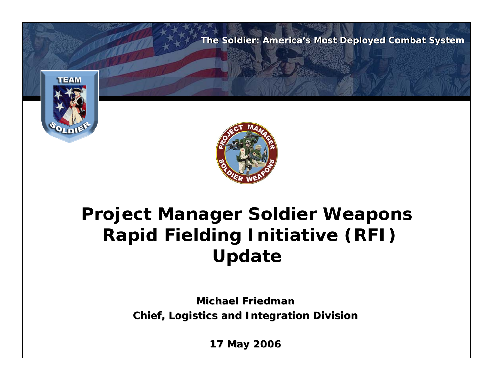

### **Project Manager Soldier Weapons Rapid Fielding Initiative (RFI) Update**

**Michael Friedman Michael FriedmanChief, Logistics and Integration Division Chief, Logistics and Integration Division**

**17 May 2006 17 2006**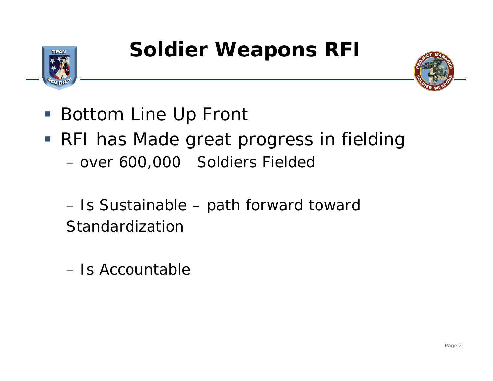



- Bottom Line Up Front
- RFI has Made great progress in fielding – over 600,000 Soldiers Fielded

–– Is Sustainable – path forward toward Standardization

– Is Accountable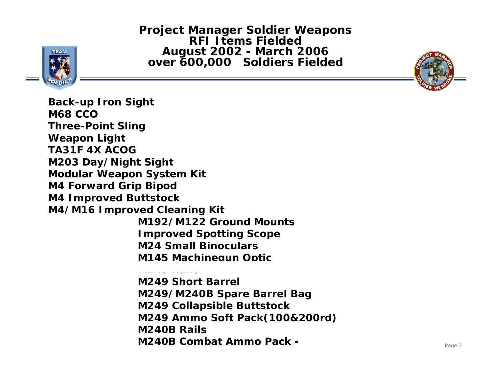**Project Manager Soldier Weapons RFI Items FieldedAugust 2002 - March 2006 over 600,000 Soldiers Fielded**





**Back-up Iron Sight M68 CCOThree-Point Sling Weapon Light TA31F 4X ACOG M203 Day/Night Sight Modular Weapon System Kit M4 Forward Grip Bipod M4 Improved Buttstock M4/M16 Improved Cleaning Kit M192/M122 Ground MountsImproved Spotting Scope M24 Small Binoculars M145 Machinegun Optic M249 RailsM249 Short Barrel** 

**M249/M240B Spare Barrel Bag M249 Collapsible Buttstock M249 Ammo Soft Pack(100&200rd) M240B RailsM240B Combat Ammo Pack -**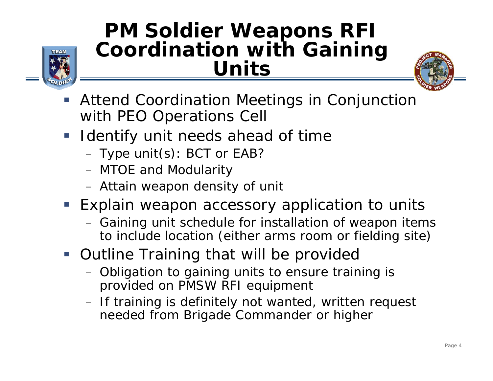

## **PM Soldier Weapons RFI Coordination with Gaining Units**



- $\overline{\phantom{a}}$  Attend Coordination Meetings in Conjunction with PEO Operations Cell
- $\mathcal{L}_{\mathcal{A}}$  Identify unit needs ahead of time
	- $-$  Type unit(s): BCT or EAB?
	- MTOE and Modularity
	- Attain weapon density of unit
- **Explain weapon accessory application to units** 
	- $-$  Gaining unit schedule for installation of weapon items  $\overline{\phantom{a}}$ to include location (either arms room or fielding site)
- **Outline Training that will be provided** 
	- $-$  Obligation to gaining units to ensure training is  $\,$ provided on PMSW RFI equipment
	- $-$  If training is definitely not wanted, written request  $\,$ needed from Brigade Commander or higher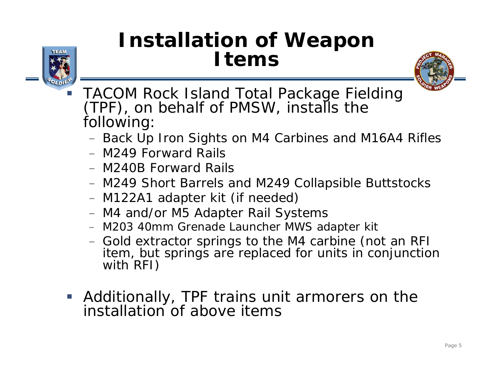# **Installation of Weapon Items**



 TACOM Rock Island Total Package Fielding (TPF), on behalf of PMSW, installs the following:

- $-$  Back Up Iron Sights on M4 Carbines and M16A4 Rifles
- M249 Forward Rails
- M240B Forward Rails
- M249 Short Barrels and M249 Collapsible Buttstocks
- M122A1 adapter kit (if needed)
- M4 and/or M5 Adapter Rail Systems
- M203 40mm Grenade Launcher MWS adapter kit
- Gold extractor springs to the M4 carbine (not an RFI) item, but springs are replaced for units in conjunction with RFI)
- Additionally, TPF trains unit armorers on the installation of above items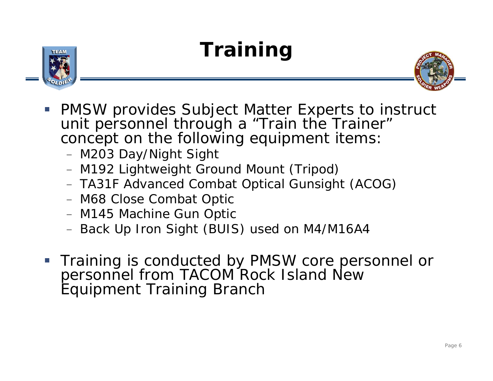# **Training**





- **PMSW provides Subject Matter Experts to instruct** unit personnel through a "Train the Trainer" concept on the following equipment items:
	- M203 Day/Night Sight
	- M192 Lightweight Ground Mount (Tripod)
	- TA31F Advanced Combat Optical Gunsight (ACOG)
	- M68 Close Combat Optic
	- M145 Machine Gun Optic
	- Back Up Iron Sight (BUIS) used on M4/M16A4
- **Training is conducted by PMSW core personnel or** personnel from TACOM Rock Island New Equipment Training Branch